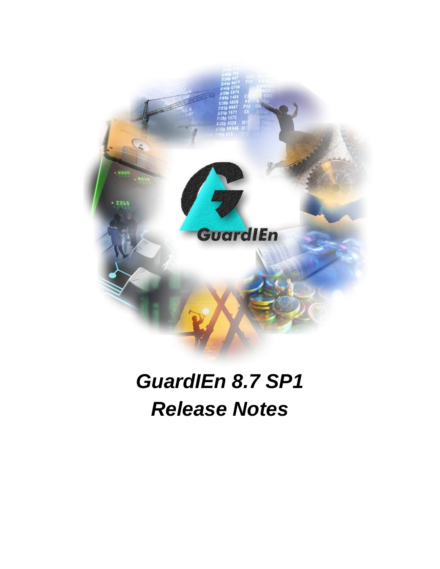

# *GuardIEn 8.7 SP1 Release Notes*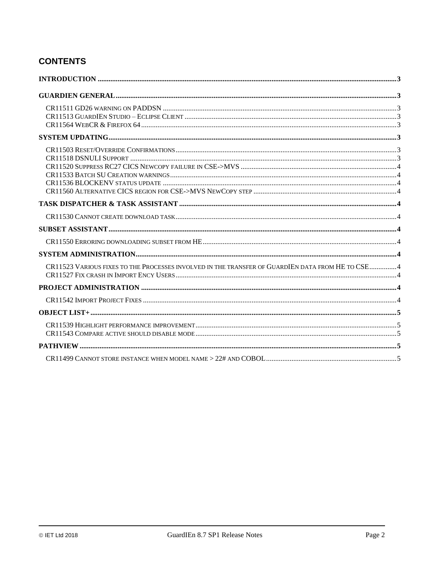# **CONTENTS**

| CR11523 VARIOUS FIXES TO THE PROCESSES INVOLVED IN THE TRANSFER OF GUARDIEN DATA FROM HE TO CSE4 |  |
|--------------------------------------------------------------------------------------------------|--|
|                                                                                                  |  |
|                                                                                                  |  |
|                                                                                                  |  |
|                                                                                                  |  |
|                                                                                                  |  |
|                                                                                                  |  |
|                                                                                                  |  |
|                                                                                                  |  |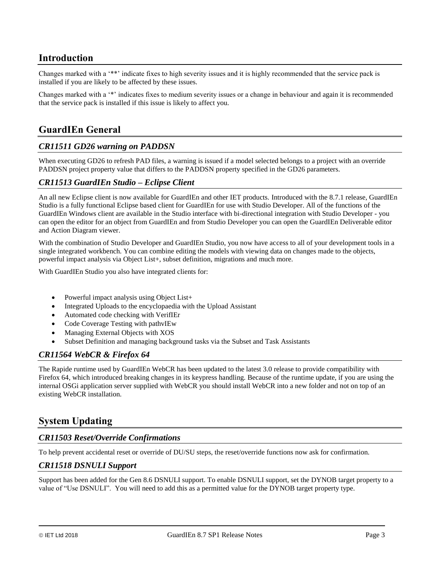## <span id="page-2-0"></span>**Introduction**

Changes marked with a '\*\*' indicate fixes to high severity issues and it is highly recommended that the service pack is installed if you are likely to be affected by these issues.

Changes marked with a '\*' indicates fixes to medium severity issues or a change in behaviour and again it is recommended that the service pack is installed if this issue is likely to affect you.

# <span id="page-2-1"></span>**GuardIEn General**

## <span id="page-2-2"></span>*CR11511 GD26 warning on PADDSN*

When executing GD26 to refresh PAD files, a warning is issued if a model selected belongs to a project with an override PADDSN project property value that differs to the PADDSN property specified in the GD26 parameters.

#### <span id="page-2-3"></span>*CR11513 GuardIEn Studio – Eclipse Client*

An all new Eclipse client is now available for GuardIEn and other IET products. Introduced with the 8.7.1 release, GuardIEn Studio is a fully functional Eclipse based client for GuardIEn for use with Studio Developer. All of the functions of the GuardIEn Windows client are available in the Studio interface with bi-directional integration with Studio Developer - you can open the editor for an object from GuardIEn and from Studio Developer you can open the GuardIEn Deliverable editor and Action Diagram viewer.

With the combination of Studio Developer and GuardIEn Studio, you now have access to all of your development tools in a single integrated workbench. You can combine editing the models with viewing data on changes made to the objects, powerful impact analysis via Object List+, subset definition, migrations and much more.

With GuardIEn Studio you also have integrated clients for:

- Powerful impact analysis using Object List+
- Integrated Uploads to the encyclopaedia with the Upload Assistant
- Automated code checking with VerifIEr
- Code Coverage Testing with pathvIEw
- Managing External Objects with XOS
- Subset Definition and managing background tasks via the Subset and Task Assistants

## <span id="page-2-4"></span>*CR11564 WebCR & Firefox 64*

The Rapide runtime used by GuardIEn WebCR has been updated to the latest 3.0 release to provide compatibility with Firefox 64, which introduced breaking changes in its keypress handling. Because of the runtime update, if you are using the internal OSGi application server supplied with WebCR you should install WebCR into a new folder and not on top of an existing WebCR installation.

## <span id="page-2-5"></span>**System Updating**

#### <span id="page-2-6"></span>*CR11503 Reset/Override Confirmations*

To help prevent accidental reset or override of DU/SU steps, the reset/override functions now ask for confirmation.

#### <span id="page-2-7"></span>*CR11518 DSNULI Support*

Support has been added for the Gen 8.6 DSNULI support. To enable DSNULI support, set the DYNOB target property to a value of "Use DSNULI". You will need to add this as a permitted value for the DYNOB target property type.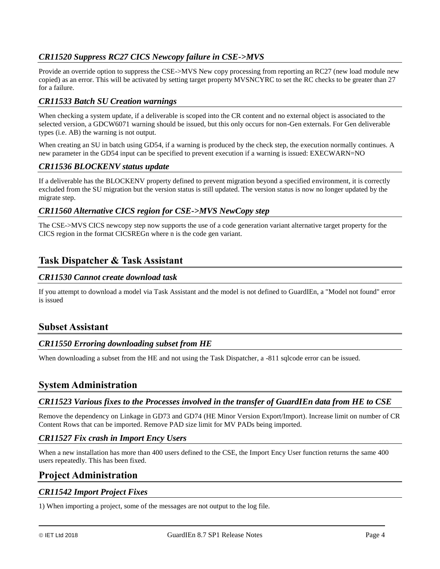## <span id="page-3-0"></span>*CR11520 Suppress RC27 CICS Newcopy failure in CSE->MVS*

Provide an override option to suppress the CSE->MVS New copy processing from reporting an RC27 (new load module new copied) as an error. This will be activated by setting target property MVSNCYRC to set the RC checks to be greater than 27 for a failure.

## <span id="page-3-1"></span>*CR11533 Batch SU Creation warnings*

When checking a system update, if a deliverable is scoped into the CR content and no external object is associated to the selected version, a GDCW6071 warning should be issued, but this only occurs for non-Gen externals. For Gen deliverable types (i.e. AB) the warning is not output.

When creating an SU in batch using GD54, if a warning is produced by the check step, the execution normally continues. A new parameter in the GD54 input can be specified to prevent execution if a warning is issued: EXECWARN=NO

#### <span id="page-3-2"></span>*CR11536 BLOCKENV status update*

If a deliverable has the BLOCKENV property defined to prevent migration beyond a specified environment, it is correctly excluded from the SU migration but the version status is still updated. The version status is now no longer updated by the migrate step.

#### <span id="page-3-3"></span>*CR11560 Alternative CICS region for CSE->MVS NewCopy step*

The CSE->MVS CICS newcopy step now supports the use of a code generation variant alternative target property for the CICS region in the format CICSREGn where n is the code gen variant.

## <span id="page-3-4"></span>**Task Dispatcher & Task Assistant**

#### <span id="page-3-5"></span>*CR11530 Cannot create download task*

If you attempt to download a model via Task Assistant and the model is not defined to GuardIEn, a "Model not found" error is issued

## <span id="page-3-6"></span>**Subset Assistant**

#### <span id="page-3-7"></span>*CR11550 Erroring downloading subset from HE*

When downloading a subset from the HE and not using the Task Dispatcher, a -811 sqlcode error can be issued.

## <span id="page-3-8"></span>**System Administration**

#### <span id="page-3-9"></span>*CR11523 Various fixes to the Processes involved in the transfer of GuardIEn data from HE to CSE*

Remove the dependency on Linkage in GD73 and GD74 (HE Minor Version Export/Import). Increase limit on number of CR Content Rows that can be imported. Remove PAD size limit for MV PADs being imported.

#### <span id="page-3-10"></span>*CR11527 Fix crash in Import Ency Users*

When a new installation has more than 400 users defined to the CSE, the Import Ency User function returns the same 400 users repeatedly. This has been fixed.

## <span id="page-3-11"></span>**Project Administration**

#### <span id="page-3-12"></span>*CR11542 Import Project Fixes*

1) When importing a project, some of the messages are not output to the log file.